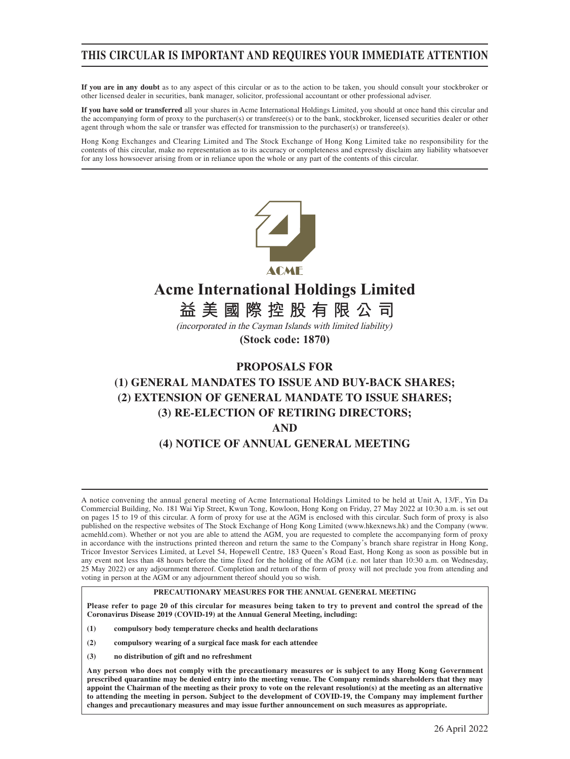## **THIS CIRCULAR IS IMPORTANT AND REQUIRES YOUR IMMEDIATE ATTENTION**

**If you are in any doubt** as to any aspect of this circular or as to the action to be taken, you should consult your stockbroker or other licensed dealer in securities, bank manager, solicitor, professional accountant or other professional adviser.

**If you have sold or transferred** all your shares in Acme International Holdings Limited, you should at once hand this circular and the accompanying form of proxy to the purchaser(s) or transferee(s) or to the bank, stockbroker, licensed securities dealer or other agent through whom the sale or transfer was effected for transmission to the purchaser(s) or transferee(s).

Hong Kong Exchanges and Clearing Limited and The Stock Exchange of Hong Kong Limited take no responsibility for the contents of this circular, make no representation as to its accuracy or completeness and expressly disclaim any liability whatsoever for any loss howsoever arising from or in reliance upon the whole or any part of the contents of this circular.



# **Acme International Holdings Limited**

**益 美 國 際 控 股 有 限 公 司**

(incorporated in the Cayman Islands with limited liability)

**(Stock code: 1870)**

## **PROPOSALS FOR**

# **(1) GENERAL MANDATES TO ISSUE AND BUY-BACK SHARES; (2) EXTENSION OF GENERAL MANDATE TO ISSUE SHARES; (3) RE-ELECTION OF RETIRING DIRECTORS; AND (4) NOTICE OF ANNUAL GENERAL MEETING**

A notice convening the annual general meeting of Acme International Holdings Limited to be held at Unit A, 13/F., Yin Da Commercial Building, No. 181 Wai Yip Street, Kwun Tong, Kowloon, Hong Kong on Friday, 27 May 2022 at 10:30 a.m. is set out on pages 15 to 19 of this circular. A form of proxy for use at the AGM is enclosed with this circular. Such form of proxy is also published on the respective websites of The Stock Exchange of Hong Kong Limited (www.hkexnews.hk) and the Company (www. acmehld.com). Whether or not you are able to attend the AGM, you are requested to complete the accompanying form of proxy in accordance with the instructions printed thereon and return the same to the Company's branch share registrar in Hong Kong, Tricor Investor Services Limited, at Level 54, Hopewell Centre, 183 Queen's Road East, Hong Kong as soon as possible but in any event not less than 48 hours before the time fixed for the holding of the AGM (i.e. not later than 10:30 a.m. on Wednesday, 25 May 2022) or any adjournment thereof. Completion and return of the form of proxy will not preclude you from attending and voting in person at the AGM or any adjournment thereof should you so wish.

### **PRECAUTIONARY MEASURES FOR THE ANNUAL GENERAL MEETING**

**Please refer to page 20 of this circular for measures being taken to try to prevent and control the spread of the Coronavirus Disease 2019 (COVID-19) at the Annual General Meeting, including:**

- **(1) compulsory body temperature checks and health declarations**
- **(2) compulsory wearing of a surgical face mask for each attendee**
- **(3) no distribution of gift and no refreshment**

**Any person who does not comply with the precautionary measures or is subject to any Hong Kong Government prescribed quarantine may be denied entry into the meeting venue. The Company reminds shareholders that they may appoint the Chairman of the meeting as their proxy to vote on the relevant resolution(s) at the meeting as an alternative to attending the meeting in person. Subject to the development of COVID-19, the Company may implement further changes and precautionary measures and may issue further announcement on such measures as appropriate.**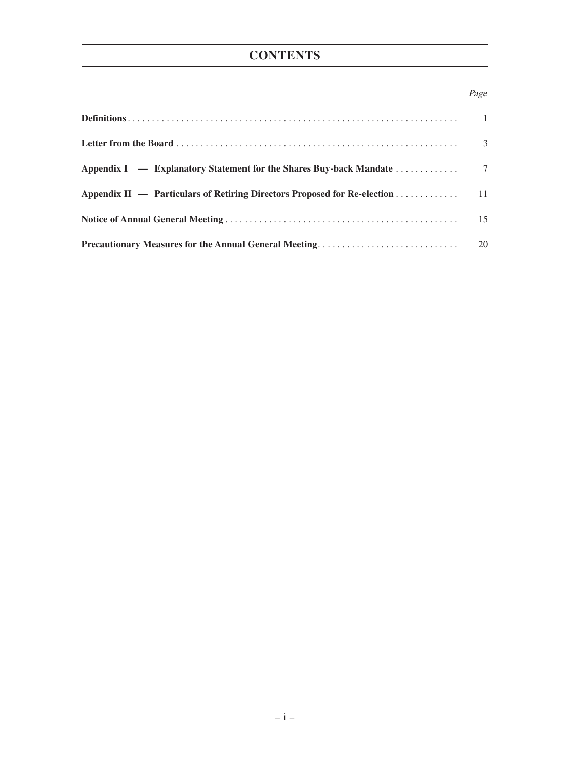# **CONTENTS**

## Page

|                                                                             | $\overline{3}$ |
|-----------------------------------------------------------------------------|----------------|
|                                                                             |                |
| Appendix II — Particulars of Retiring Directors Proposed for Re-election 11 |                |
|                                                                             | 15             |
| <b>Precautionary Measures for the Annual General Meeting</b>                | 20             |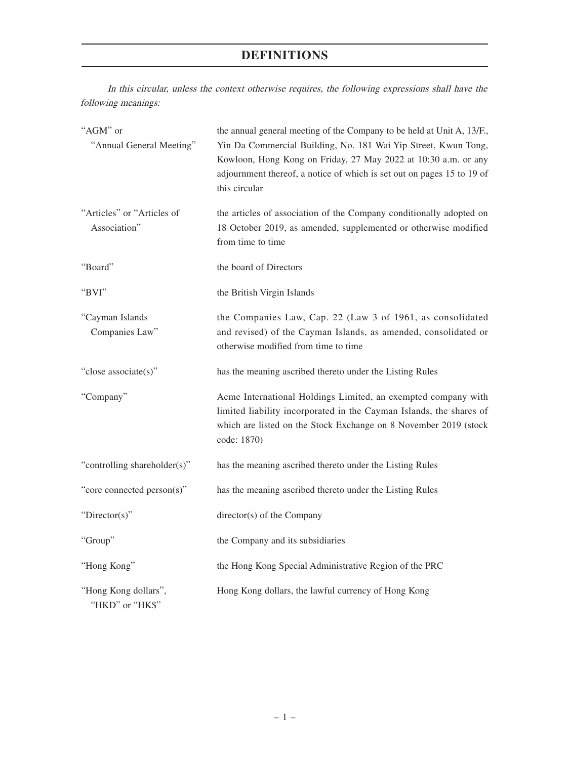# **DEFINITIONS**

In this circular, unless the context otherwise requires, the following expressions shall have the following meanings:

| "AGM" or<br>"Annual General Meeting"       | the annual general meeting of the Company to be held at Unit A, 13/F.,<br>Yin Da Commercial Building, No. 181 Wai Yip Street, Kwun Tong,<br>Kowloon, Hong Kong on Friday, 27 May 2022 at 10:30 a.m. or any<br>adjournment thereof, a notice of which is set out on pages 15 to 19 of<br>this circular |
|--------------------------------------------|-------------------------------------------------------------------------------------------------------------------------------------------------------------------------------------------------------------------------------------------------------------------------------------------------------|
| "Articles" or "Articles of<br>Association" | the articles of association of the Company conditionally adopted on<br>18 October 2019, as amended, supplemented or otherwise modified<br>from time to time                                                                                                                                           |
| "Board"                                    | the board of Directors                                                                                                                                                                                                                                                                                |
| "BVI"                                      | the British Virgin Islands                                                                                                                                                                                                                                                                            |
| "Cayman Islands<br>Companies Law"          | the Companies Law, Cap. 22 (Law 3 of 1961, as consolidated<br>and revised) of the Cayman Islands, as amended, consolidated or<br>otherwise modified from time to time                                                                                                                                 |
| "close associate(s)"                       | has the meaning ascribed thereto under the Listing Rules                                                                                                                                                                                                                                              |
| "Company"                                  | Acme International Holdings Limited, an exempted company with<br>limited liability incorporated in the Cayman Islands, the shares of<br>which are listed on the Stock Exchange on 8 November 2019 (stock<br>code: 1870)                                                                               |
| "controlling shareholder(s)"               | has the meaning ascribed thereto under the Listing Rules                                                                                                                                                                                                                                              |
| "core connected person(s)"                 | has the meaning ascribed thereto under the Listing Rules                                                                                                                                                                                                                                              |
| "Director(s)"                              | director(s) of the Company                                                                                                                                                                                                                                                                            |
| "Group"                                    | the Company and its subsidiaries                                                                                                                                                                                                                                                                      |
| "Hong Kong"                                | the Hong Kong Special Administrative Region of the PRC                                                                                                                                                                                                                                                |
| "Hong Kong dollars",<br>"HKD" or "HK\$"    | Hong Kong dollars, the lawful currency of Hong Kong                                                                                                                                                                                                                                                   |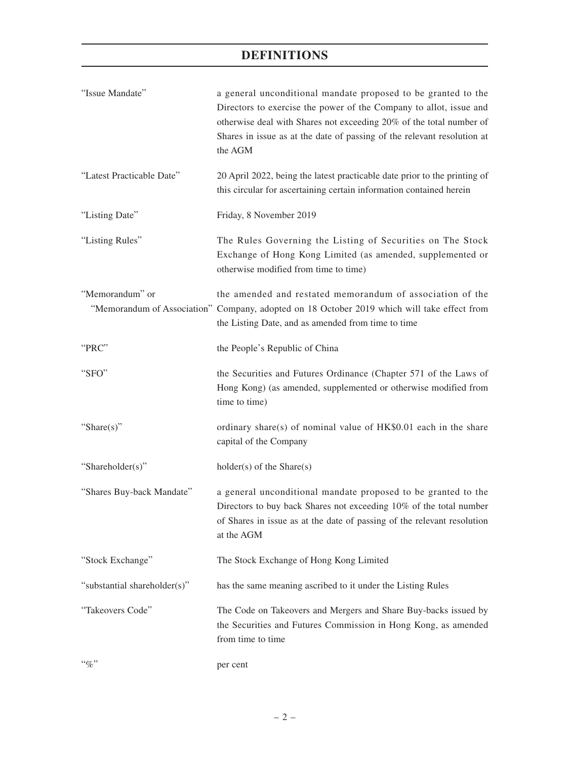# **DEFINITIONS**

| "Issue Mandate"              | a general unconditional mandate proposed to be granted to the<br>Directors to exercise the power of the Company to allot, issue and<br>otherwise deal with Shares not exceeding 20% of the total number of<br>Shares in issue as at the date of passing of the relevant resolution at<br>the AGM |
|------------------------------|--------------------------------------------------------------------------------------------------------------------------------------------------------------------------------------------------------------------------------------------------------------------------------------------------|
| "Latest Practicable Date"    | 20 April 2022, being the latest practicable date prior to the printing of<br>this circular for ascertaining certain information contained herein                                                                                                                                                 |
| "Listing Date"               | Friday, 8 November 2019                                                                                                                                                                                                                                                                          |
| "Listing Rules"              | The Rules Governing the Listing of Securities on The Stock<br>Exchange of Hong Kong Limited (as amended, supplemented or<br>otherwise modified from time to time)                                                                                                                                |
| "Memorandum" or              | the amended and restated memorandum of association of the<br>"Memorandum of Association" Company, adopted on 18 October 2019 which will take effect from<br>the Listing Date, and as amended from time to time                                                                                   |
| "PRC"                        | the People's Republic of China                                                                                                                                                                                                                                                                   |
| "SFO"                        | the Securities and Futures Ordinance (Chapter 571 of the Laws of<br>Hong Kong) (as amended, supplemented or otherwise modified from<br>time to time)                                                                                                                                             |
| "Share(s)"                   | ordinary share(s) of nominal value of $HK$0.01$ each in the share<br>capital of the Company                                                                                                                                                                                                      |
| "Shareholder(s)"             | $holder(s)$ of the Share $(s)$                                                                                                                                                                                                                                                                   |
| "Shares Buy-back Mandate"    | a general unconditional mandate proposed to be granted to the<br>Directors to buy back Shares not exceeding 10% of the total number<br>of Shares in issue as at the date of passing of the relevant resolution<br>at the AGM                                                                     |
| "Stock Exchange"             | The Stock Exchange of Hong Kong Limited                                                                                                                                                                                                                                                          |
| "substantial shareholder(s)" | has the same meaning ascribed to it under the Listing Rules                                                                                                                                                                                                                                      |
| "Takeovers Code"             | The Code on Takeovers and Mergers and Share Buy-backs issued by<br>the Securities and Futures Commission in Hong Kong, as amended<br>from time to time                                                                                                                                           |
| $``\%"$                      | per cent                                                                                                                                                                                                                                                                                         |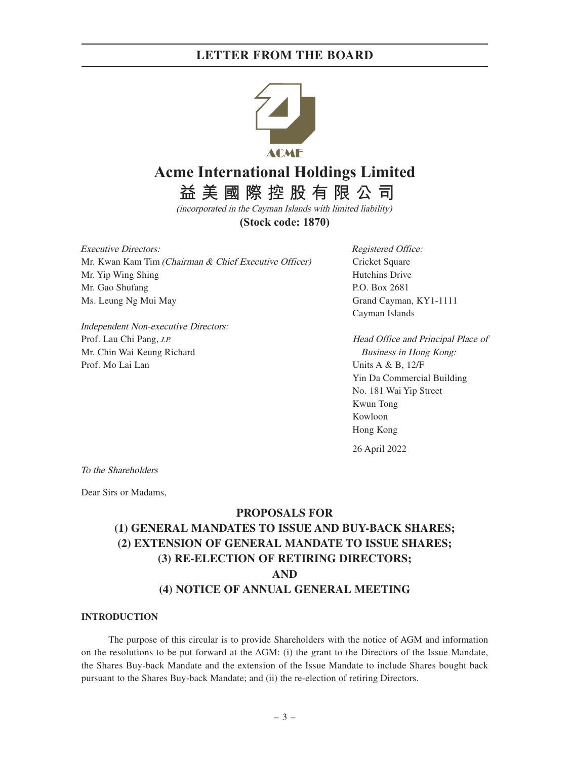

# **Acme International Holdings Limited**

**益 美 國 際 控 股 有 限 公 司**

(incorporated in the Cayman Islands with limited liability) **(Stock code: 1870)**

Executive Directors: Mr. Kwan Kam Tim (Chairman & Chief Executive Officer) Mr. Yip Wing Shing Mr. Gao Shufang Ms. Leung Ng Mui May

Independent Non-executive Directors: Prof. Lau Chi Pang, J.P. Mr. Chin Wai Keung Richard Prof. Mo Lai Lan

Registered Office: Cricket Square Hutchins Drive P.O. Box 2681 Grand Cayman, KY1-1111 Cayman Islands

Head Office and Principal Place of Business in Hong Kong: Units A & B, 12/F Yin Da Commercial Building No. 181 Wai Yip Street Kwun Tong Kowloon Hong Kong

26 April 2022

To the Shareholders

Dear Sirs or Madams,

### **PROPOSALS FOR**

# **(1) GENERAL MANDATES TO ISSUE AND BUY-BACK SHARES; (2) EXTENSION OF GENERAL MANDATE TO ISSUE SHARES; (3) RE-ELECTION OF RETIRING DIRECTORS; AND (4) NOTICE OF ANNUAL GENERAL MEETING**

#### **INTRODUCTION**

The purpose of this circular is to provide Shareholders with the notice of AGM and information on the resolutions to be put forward at the AGM: (i) the grant to the Directors of the Issue Mandate, the Shares Buy-back Mandate and the extension of the Issue Mandate to include Shares bought back pursuant to the Shares Buy-back Mandate; and (ii) the re-election of retiring Directors.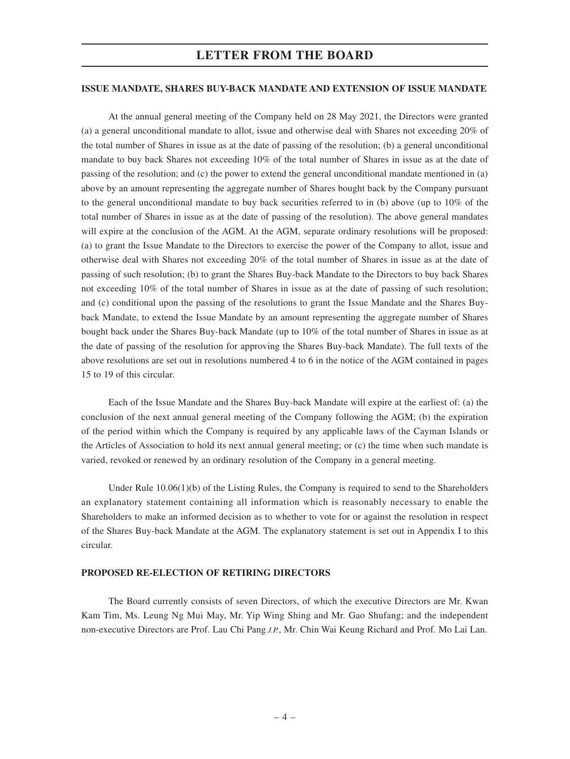#### **ISSUE MANDATE, SHARES BUY-BACK MANDATE AND EXTENSION OF ISSUE MANDATE**

At the annual general meeting of the Company held on 28 May 2021, the Directors were granted (a) a general unconditional mandate to allot, issue and otherwise deal with Shares not exceeding 20% of the total number of Shares in issue as at the date of passing of the resolution; (b) a general unconditional mandate to buy back Shares not exceeding 10% of the total number of Shares in issue as at the date of passing of the resolution; and (c) the power to extend the general unconditional mandate mentioned in (a) above by an amount representing the aggregate number of Shares bought back by the Company pursuant to the general unconditional mandate to buy back securities referred to in (b) above (up to 10% of the total number of Shares in issue as at the date of passing of the resolution). The above general mandates will expire at the conclusion of the AGM. At the AGM, separate ordinary resolutions will be proposed: (a) to grant the Issue Mandate to the Directors to exercise the power of the Company to allot, issue and otherwise deal with Shares not exceeding 20% of the total number of Shares in issue as at the date of passing of such resolution; (b) to grant the Shares Buy-back Mandate to the Directors to buy back Shares not exceeding 10% of the total number of Shares in issue as at the date of passing of such resolution; and (c) conditional upon the passing of the resolutions to grant the Issue Mandate and the Shares Buyback Mandate, to extend the Issue Mandate by an amount representing the aggregate number of Shares bought back under the Shares Buy-back Mandate (up to 10% of the total number of Shares in issue as at the date of passing of the resolution for approving the Shares Buy-back Mandate). The full texts of the above resolutions are set out in resolutions numbered 4 to 6 in the notice of the AGM contained in pages 15 to 19 of this circular.

Each of the Issue Mandate and the Shares Buy-back Mandate will expire at the earliest of: (a) the conclusion of the next annual general meeting of the Company following the AGM; (b) the expiration of the period within which the Company is required by any applicable laws of the Cayman Islands or the Articles of Association to hold its next annual general meeting; or (c) the time when such mandate is varied, revoked or renewed by an ordinary resolution of the Company in a general meeting.

Under Rule 10.06(1)(b) of the Listing Rules, the Company is required to send to the Shareholders an explanatory statement containing all information which is reasonably necessary to enable the Shareholders to make an informed decision as to whether to vote for or against the resolution in respect of the Shares Buy-back Mandate at the AGM. The explanatory statement is set out in Appendix I to this circular.

### **PROPOSED RE-ELECTION OF RETIRING DIRECTORS**

The Board currently consists of seven Directors, of which the executive Directors are Mr. Kwan Kam Tim, Ms. Leung Ng Mui May, Mr. Yip Wing Shing and Mr. Gao Shufang; and the independent non-executive Directors are Prof. Lau Chi Pang J.P., Mr. Chin Wai Keung Richard and Prof. Mo Lai Lan.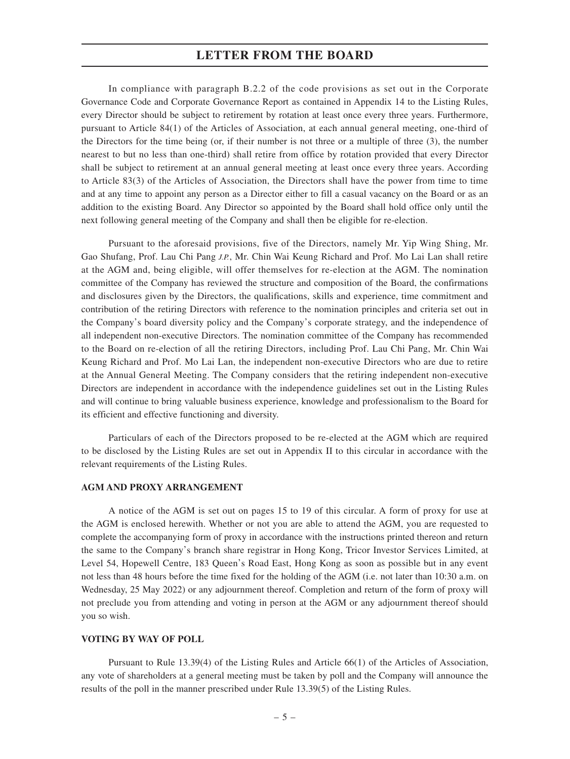In compliance with paragraph B.2.2 of the code provisions as set out in the Corporate Governance Code and Corporate Governance Report as contained in Appendix 14 to the Listing Rules, every Director should be subject to retirement by rotation at least once every three years. Furthermore, pursuant to Article 84(1) of the Articles of Association, at each annual general meeting, one-third of the Directors for the time being (or, if their number is not three or a multiple of three (3), the number nearest to but no less than one-third) shall retire from office by rotation provided that every Director shall be subject to retirement at an annual general meeting at least once every three years. According to Article 83(3) of the Articles of Association, the Directors shall have the power from time to time and at any time to appoint any person as a Director either to fill a casual vacancy on the Board or as an addition to the existing Board. Any Director so appointed by the Board shall hold office only until the next following general meeting of the Company and shall then be eligible for re-election.

Pursuant to the aforesaid provisions, five of the Directors, namely Mr. Yip Wing Shing, Mr. Gao Shufang, Prof. Lau Chi Pang J.P., Mr. Chin Wai Keung Richard and Prof. Mo Lai Lan shall retire at the AGM and, being eligible, will offer themselves for re-election at the AGM. The nomination committee of the Company has reviewed the structure and composition of the Board, the confirmations and disclosures given by the Directors, the qualifications, skills and experience, time commitment and contribution of the retiring Directors with reference to the nomination principles and criteria set out in the Company's board diversity policy and the Company's corporate strategy, and the independence of all independent non-executive Directors. The nomination committee of the Company has recommended to the Board on re-election of all the retiring Directors, including Prof. Lau Chi Pang, Mr. Chin Wai Keung Richard and Prof. Mo Lai Lan, the independent non-executive Directors who are due to retire at the Annual General Meeting. The Company considers that the retiring independent non-executive Directors are independent in accordance with the independence guidelines set out in the Listing Rules and will continue to bring valuable business experience, knowledge and professionalism to the Board for its efficient and effective functioning and diversity.

Particulars of each of the Directors proposed to be re-elected at the AGM which are required to be disclosed by the Listing Rules are set out in Appendix II to this circular in accordance with the relevant requirements of the Listing Rules.

#### **AGM AND PROXY ARRANGEMENT**

A notice of the AGM is set out on pages 15 to 19 of this circular. A form of proxy for use at the AGM is enclosed herewith. Whether or not you are able to attend the AGM, you are requested to complete the accompanying form of proxy in accordance with the instructions printed thereon and return the same to the Company's branch share registrar in Hong Kong, Tricor Investor Services Limited, at Level 54, Hopewell Centre, 183 Queen's Road East, Hong Kong as soon as possible but in any event not less than 48 hours before the time fixed for the holding of the AGM (i.e. not later than 10:30 a.m. on Wednesday, 25 May 2022) or any adjournment thereof. Completion and return of the form of proxy will not preclude you from attending and voting in person at the AGM or any adjournment thereof should you so wish.

#### **VOTING BY WAY OF POLL**

Pursuant to Rule 13.39(4) of the Listing Rules and Article 66(1) of the Articles of Association, any vote of shareholders at a general meeting must be taken by poll and the Company will announce the results of the poll in the manner prescribed under Rule 13.39(5) of the Listing Rules.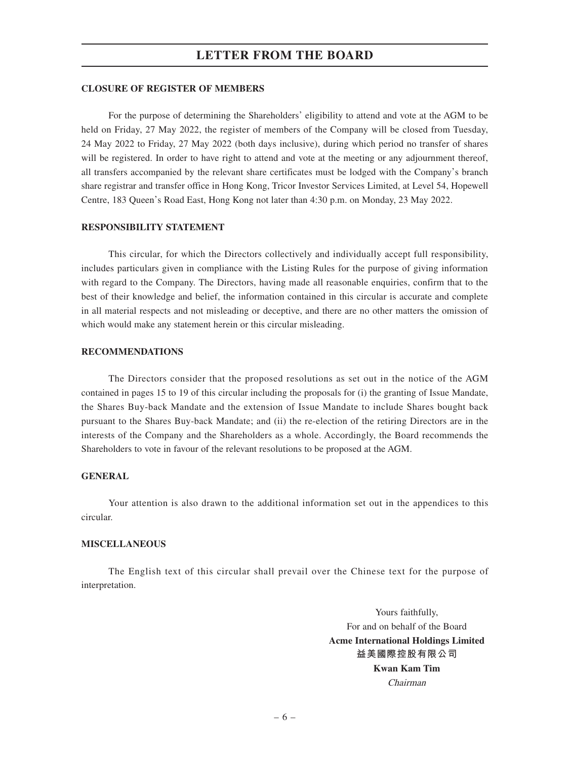#### **CLOSURE OF REGISTER OF MEMBERS**

For the purpose of determining the Shareholders' eligibility to attend and vote at the AGM to be held on Friday, 27 May 2022, the register of members of the Company will be closed from Tuesday, 24 May 2022 to Friday, 27 May 2022 (both days inclusive), during which period no transfer of shares will be registered. In order to have right to attend and vote at the meeting or any adjournment thereof, all transfers accompanied by the relevant share certificates must be lodged with the Company's branch share registrar and transfer office in Hong Kong, Tricor Investor Services Limited, at Level 54, Hopewell Centre, 183 Queen's Road East, Hong Kong not later than 4:30 p.m. on Monday, 23 May 2022.

#### **RESPONSIBILITY STATEMENT**

This circular, for which the Directors collectively and individually accept full responsibility, includes particulars given in compliance with the Listing Rules for the purpose of giving information with regard to the Company. The Directors, having made all reasonable enquiries, confirm that to the best of their knowledge and belief, the information contained in this circular is accurate and complete in all material respects and not misleading or deceptive, and there are no other matters the omission of which would make any statement herein or this circular misleading.

#### **RECOMMENDATIONS**

The Directors consider that the proposed resolutions as set out in the notice of the AGM contained in pages 15 to 19 of this circular including the proposals for (i) the granting of Issue Mandate, the Shares Buy-back Mandate and the extension of Issue Mandate to include Shares bought back pursuant to the Shares Buy-back Mandate; and (ii) the re-election of the retiring Directors are in the interests of the Company and the Shareholders as a whole. Accordingly, the Board recommends the Shareholders to vote in favour of the relevant resolutions to be proposed at the AGM.

#### **GENERAL**

Your attention is also drawn to the additional information set out in the appendices to this circular.

#### **MISCELLANEOUS**

The English text of this circular shall prevail over the Chinese text for the purpose of interpretation.

> Yours faithfully, For and on behalf of the Board **Acme International Holdings Limited 益美國際控股有限公司 Kwan Kam Tim** Chairman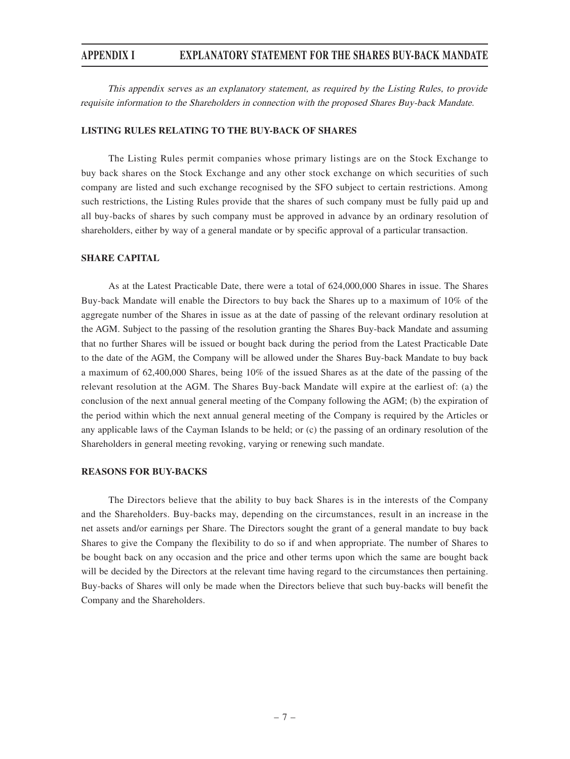This appendix serves as an explanatory statement, as required by the Listing Rules, to provide requisite information to the Shareholders in connection with the proposed Shares Buy-back Mandate.

#### **LISTING RULES RELATING TO THE BUY-BACK OF SHARES**

The Listing Rules permit companies whose primary listings are on the Stock Exchange to buy back shares on the Stock Exchange and any other stock exchange on which securities of such company are listed and such exchange recognised by the SFO subject to certain restrictions. Among such restrictions, the Listing Rules provide that the shares of such company must be fully paid up and all buy-backs of shares by such company must be approved in advance by an ordinary resolution of shareholders, either by way of a general mandate or by specific approval of a particular transaction.

#### **SHARE CAPITAL**

As at the Latest Practicable Date, there were a total of 624,000,000 Shares in issue. The Shares Buy-back Mandate will enable the Directors to buy back the Shares up to a maximum of 10% of the aggregate number of the Shares in issue as at the date of passing of the relevant ordinary resolution at the AGM. Subject to the passing of the resolution granting the Shares Buy-back Mandate and assuming that no further Shares will be issued or bought back during the period from the Latest Practicable Date to the date of the AGM, the Company will be allowed under the Shares Buy-back Mandate to buy back a maximum of 62,400,000 Shares, being 10% of the issued Shares as at the date of the passing of the relevant resolution at the AGM. The Shares Buy-back Mandate will expire at the earliest of: (a) the conclusion of the next annual general meeting of the Company following the AGM; (b) the expiration of the period within which the next annual general meeting of the Company is required by the Articles or any applicable laws of the Cayman Islands to be held; or (c) the passing of an ordinary resolution of the Shareholders in general meeting revoking, varying or renewing such mandate.

#### **REASONS FOR BUY-BACKS**

The Directors believe that the ability to buy back Shares is in the interests of the Company and the Shareholders. Buy-backs may, depending on the circumstances, result in an increase in the net assets and/or earnings per Share. The Directors sought the grant of a general mandate to buy back Shares to give the Company the flexibility to do so if and when appropriate. The number of Shares to be bought back on any occasion and the price and other terms upon which the same are bought back will be decided by the Directors at the relevant time having regard to the circumstances then pertaining. Buy-backs of Shares will only be made when the Directors believe that such buy-backs will benefit the Company and the Shareholders.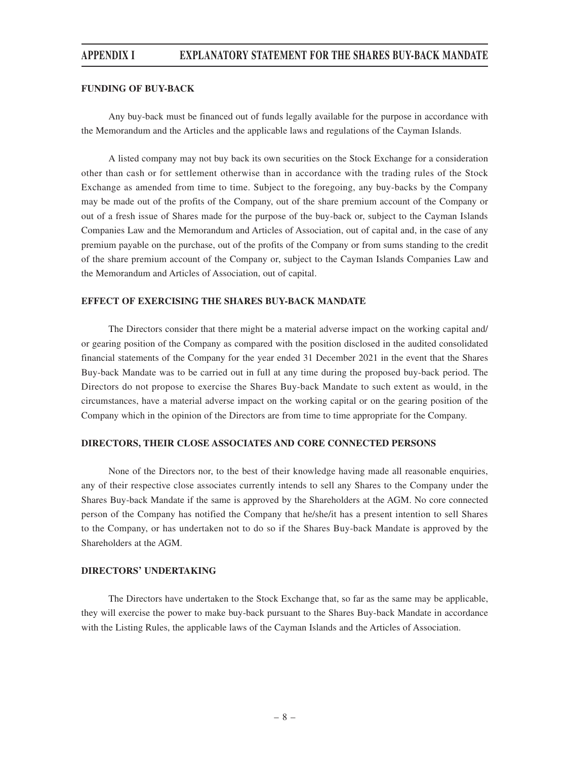#### **FUNDING OF BUY-BACK**

Any buy-back must be financed out of funds legally available for the purpose in accordance with the Memorandum and the Articles and the applicable laws and regulations of the Cayman Islands.

A listed company may not buy back its own securities on the Stock Exchange for a consideration other than cash or for settlement otherwise than in accordance with the trading rules of the Stock Exchange as amended from time to time. Subject to the foregoing, any buy-backs by the Company may be made out of the profits of the Company, out of the share premium account of the Company or out of a fresh issue of Shares made for the purpose of the buy-back or, subject to the Cayman Islands Companies Law and the Memorandum and Articles of Association, out of capital and, in the case of any premium payable on the purchase, out of the profits of the Company or from sums standing to the credit of the share premium account of the Company or, subject to the Cayman Islands Companies Law and the Memorandum and Articles of Association, out of capital.

#### **EFFECT OF EXERCISING THE SHARES BUY-BACK MANDATE**

The Directors consider that there might be a material adverse impact on the working capital and/ or gearing position of the Company as compared with the position disclosed in the audited consolidated financial statements of the Company for the year ended 31 December 2021 in the event that the Shares Buy-back Mandate was to be carried out in full at any time during the proposed buy-back period. The Directors do not propose to exercise the Shares Buy-back Mandate to such extent as would, in the circumstances, have a material adverse impact on the working capital or on the gearing position of the Company which in the opinion of the Directors are from time to time appropriate for the Company.

#### **DIRECTORS, THEIR CLOSE ASSOCIATES AND CORE CONNECTED PERSONS**

None of the Directors nor, to the best of their knowledge having made all reasonable enquiries, any of their respective close associates currently intends to sell any Shares to the Company under the Shares Buy-back Mandate if the same is approved by the Shareholders at the AGM. No core connected person of the Company has notified the Company that he/she/it has a present intention to sell Shares to the Company, or has undertaken not to do so if the Shares Buy-back Mandate is approved by the Shareholders at the AGM.

### **DIRECTORS' UNDERTAKING**

The Directors have undertaken to the Stock Exchange that, so far as the same may be applicable, they will exercise the power to make buy-back pursuant to the Shares Buy-back Mandate in accordance with the Listing Rules, the applicable laws of the Cayman Islands and the Articles of Association.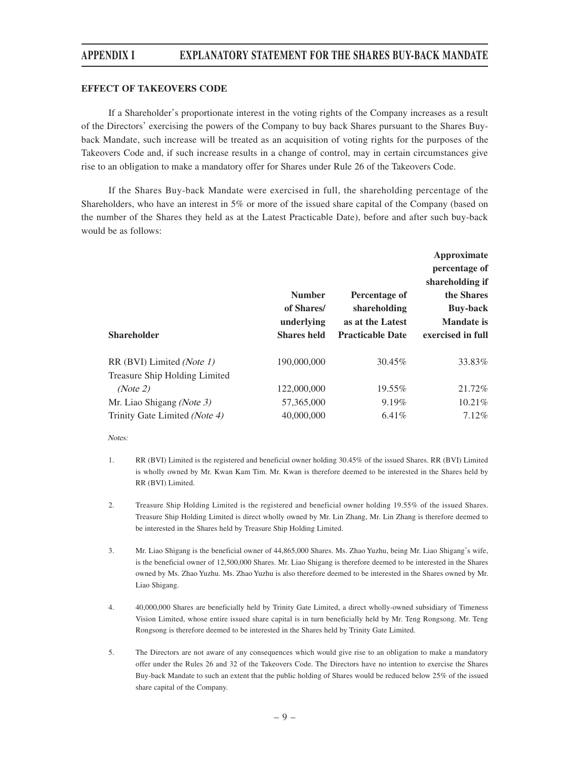#### **EFFECT OF TAKEOVERS CODE**

If a Shareholder's proportionate interest in the voting rights of the Company increases as a result of the Directors' exercising the powers of the Company to buy back Shares pursuant to the Shares Buyback Mandate, such increase will be treated as an acquisition of voting rights for the purposes of the Takeovers Code and, if such increase results in a change of control, may in certain circumstances give rise to an obligation to make a mandatory offer for Shares under Rule 26 of the Takeovers Code.

If the Shares Buy-back Mandate were exercised in full, the shareholding percentage of the Shareholders, who have an interest in 5% or more of the issued share capital of the Company (based on the number of the Shares they held as at the Latest Practicable Date), before and after such buy-back would be as follows:

| percentage of<br>shareholding if<br><b>Number</b><br>the Shares<br>Percentage of<br>of Shares/<br>shareholding<br><b>Buy-back</b><br>underlying<br><b>Mandate is</b><br>as at the Latest |
|------------------------------------------------------------------------------------------------------------------------------------------------------------------------------------------|
| <b>Shareholder</b><br>exercised in full<br><b>Shares held</b><br><b>Practicable Date</b>                                                                                                 |
| 190,000,000<br>30.45%<br>33.83%<br>RR (BVI) Limited (Note 1)<br>Treasure Ship Holding Limited                                                                                            |
| 21.72%<br>122,000,000<br>19.55%<br>(Note 2)                                                                                                                                              |
| $10.21\%$<br>9.19%<br>57,365,000<br>Mr. Liao Shigang (Note 3)                                                                                                                            |
| 7.12%<br>6.41%<br>Trinity Gate Limited (Note 4)<br>40,000,000                                                                                                                            |

#### Notes:

- 1. RR (BVI) Limited is the registered and beneficial owner holding 30.45% of the issued Shares. RR (BVI) Limited is wholly owned by Mr. Kwan Kam Tim. Mr. Kwan is therefore deemed to be interested in the Shares held by RR (BVI) Limited.
- 2. Treasure Ship Holding Limited is the registered and beneficial owner holding 19.55% of the issued Shares. Treasure Ship Holding Limited is direct wholly owned by Mr. Lin Zhang, Mr. Lin Zhang is therefore deemed to be interested in the Shares held by Treasure Ship Holding Limited.
- 3. Mr. Liao Shigang is the beneficial owner of 44,865,000 Shares. Ms. Zhao Yuzhu, being Mr. Liao Shigang's wife, is the beneficial owner of 12,500,000 Shares. Mr. Liao Shigang is therefore deemed to be interested in the Shares owned by Ms. Zhao Yuzhu. Ms. Zhao Yuzhu is also therefore deemed to be interested in the Shares owned by Mr. Liao Shigang.
- 4. 40,000,000 Shares are beneficially held by Trinity Gate Limited, a direct wholly-owned subsidiary of Timeness Vision Limited, whose entire issued share capital is in turn beneficially held by Mr. Teng Rongsong. Mr. Teng Rongsong is therefore deemed to be interested in the Shares held by Trinity Gate Limited.
- 5. The Directors are not aware of any consequences which would give rise to an obligation to make a mandatory offer under the Rules 26 and 32 of the Takeovers Code. The Directors have no intention to exercise the Shares Buy-back Mandate to such an extent that the public holding of Shares would be reduced below 25% of the issued share capital of the Company.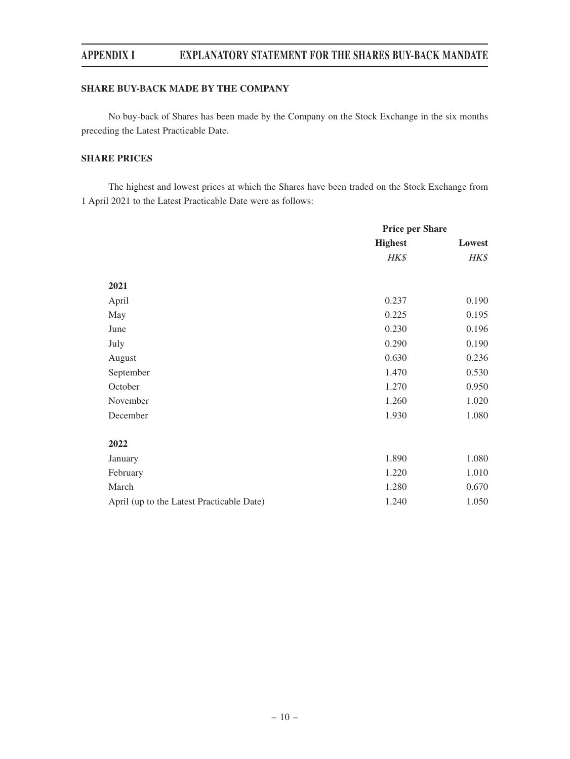### **SHARE BUY-BACK MADE BY THE COMPANY**

No buy-back of Shares has been made by the Company on the Stock Exchange in the six months preceding the Latest Practicable Date.

## **SHARE PRICES**

The highest and lowest prices at which the Shares have been traded on the Stock Exchange from 1 April 2021 to the Latest Practicable Date were as follows:

|                                           | <b>Price per Share</b> |        |
|-------------------------------------------|------------------------|--------|
|                                           | <b>Highest</b>         | Lowest |
|                                           | HK\$                   | HK\$   |
|                                           |                        |        |
| 2021                                      |                        |        |
| April                                     | 0.237                  | 0.190  |
| May                                       | 0.225                  | 0.195  |
| June                                      | 0.230                  | 0.196  |
| July                                      | 0.290                  | 0.190  |
| August                                    | 0.630                  | 0.236  |
| September                                 | 1.470                  | 0.530  |
| October                                   | 1.270                  | 0.950  |
| November                                  | 1.260                  | 1.020  |
| December                                  | 1.930                  | 1.080  |
|                                           |                        |        |
| 2022                                      |                        |        |
| January                                   | 1.890                  | 1.080  |
| February                                  | 1.220                  | 1.010  |
| March                                     | 1.280                  | 0.670  |
| April (up to the Latest Practicable Date) | 1.240                  | 1.050  |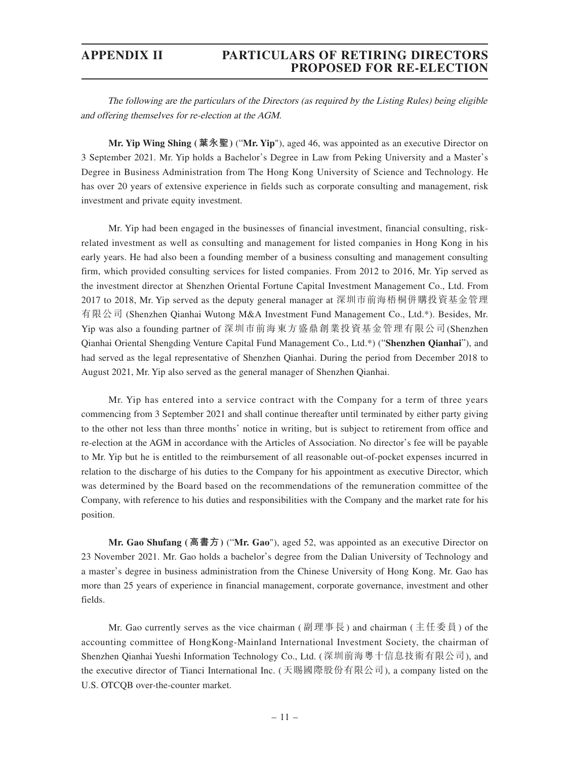The following are the particulars of the Directors (as required by the Listing Rules) being eligible and offering themselves for re-election at the AGM.

**Mr. Yip Wing Shing (葉永聖)** ("**Mr. Yip**"), aged 46, was appointed as an executive Director on 3 September 2021. Mr. Yip holds a Bachelor's Degree in Law from Peking University and a Master's Degree in Business Administration from The Hong Kong University of Science and Technology. He has over 20 years of extensive experience in fields such as corporate consulting and management, risk investment and private equity investment.

Mr. Yip had been engaged in the businesses of financial investment, financial consulting, riskrelated investment as well as consulting and management for listed companies in Hong Kong in his early years. He had also been a founding member of a business consulting and management consulting firm, which provided consulting services for listed companies. From 2012 to 2016, Mr. Yip served as the investment director at Shenzhen Oriental Fortune Capital Investment Management Co., Ltd. From 2017 to 2018, Mr. Yip served as the deputy general manager at 深圳市前海梧桐併購投資基金管理 有限公司 (Shenzhen Qianhai Wutong M&A Investment Fund Management Co., Ltd.\*). Besides, Mr. Yip was also a founding partner of 深圳市前海東方盛鼎創業投資基金管理有限公司(Shenzhen Qianhai Oriental Shengding Venture Capital Fund Management Co., Ltd.\*) ("**Shenzhen Qianhai**"), and had served as the legal representative of Shenzhen Qianhai. During the period from December 2018 to August 2021, Mr. Yip also served as the general manager of Shenzhen Qianhai.

Mr. Yip has entered into a service contract with the Company for a term of three years commencing from 3 September 2021 and shall continue thereafter until terminated by either party giving to the other not less than three months' notice in writing, but is subject to retirement from office and re-election at the AGM in accordance with the Articles of Association. No director's fee will be payable to Mr. Yip but he is entitled to the reimbursement of all reasonable out-of-pocket expenses incurred in relation to the discharge of his duties to the Company for his appointment as executive Director, which was determined by the Board based on the recommendations of the remuneration committee of the Company, with reference to his duties and responsibilities with the Company and the market rate for his position.

**Mr. Gao Shufang (高書方)** ("**Mr. Gao**"), aged 52, was appointed as an executive Director on 23 November 2021. Mr. Gao holds a bachelor's degree from the Dalian University of Technology and a master's degree in business administration from the Chinese University of Hong Kong. Mr. Gao has more than 25 years of experience in financial management, corporate governance, investment and other fields.

Mr. Gao currently serves as the vice chairman (副理事長) and chairman ( 主任委員) of the accounting committee of HongKong-Mainland International Investment Society, the chairman of Shenzhen Qianhai Yueshi Information Technology Co., Ltd. (深圳前海粵十信息技術有限公司), and the executive director of Tianci International Inc. (天賜國際股份有限公司), a company listed on the U.S. OTCQB over-the-counter market.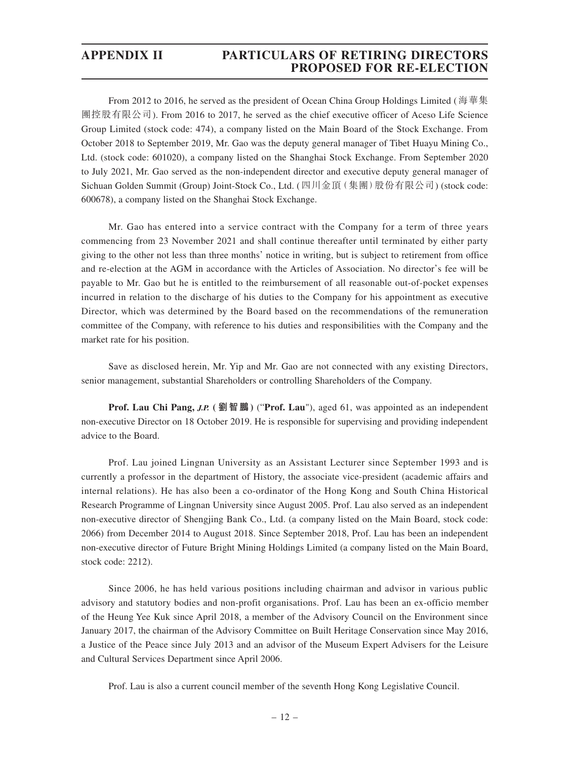From 2012 to 2016, he served as the president of Ocean China Group Holdings Limited (海華集 團控股有限公司). From 2016 to 2017, he served as the chief executive officer of Aceso Life Science Group Limited (stock code: 474), a company listed on the Main Board of the Stock Exchange. From October 2018 to September 2019, Mr. Gao was the deputy general manager of Tibet Huayu Mining Co., Ltd. (stock code: 601020), a company listed on the Shanghai Stock Exchange. From September 2020 to July 2021, Mr. Gao served as the non-independent director and executive deputy general manager of Sichuan Golden Summit (Group) Joint-Stock Co., Ltd. (四川金頂(集團)股份有限公司) (stock code: 600678), a company listed on the Shanghai Stock Exchange.

Mr. Gao has entered into a service contract with the Company for a term of three years commencing from 23 November 2021 and shall continue thereafter until terminated by either party giving to the other not less than three months' notice in writing, but is subject to retirement from office and re-election at the AGM in accordance with the Articles of Association. No director's fee will be payable to Mr. Gao but he is entitled to the reimbursement of all reasonable out-of-pocket expenses incurred in relation to the discharge of his duties to the Company for his appointment as executive Director, which was determined by the Board based on the recommendations of the remuneration committee of the Company, with reference to his duties and responsibilities with the Company and the market rate for his position.

Save as disclosed herein, Mr. Yip and Mr. Gao are not connected with any existing Directors, senior management, substantial Shareholders or controlling Shareholders of the Company.

**Prof. Lau Chi Pang, J.P. ( 劉智鵬)** ("**Prof. Lau**"), aged 61, was appointed as an independent non-executive Director on 18 October 2019. He is responsible for supervising and providing independent advice to the Board.

Prof. Lau joined Lingnan University as an Assistant Lecturer since September 1993 and is currently a professor in the department of History, the associate vice-president (academic affairs and internal relations). He has also been a co-ordinator of the Hong Kong and South China Historical Research Programme of Lingnan University since August 2005. Prof. Lau also served as an independent non-executive director of Shengjing Bank Co., Ltd. (a company listed on the Main Board, stock code: 2066) from December 2014 to August 2018. Since September 2018, Prof. Lau has been an independent non-executive director of Future Bright Mining Holdings Limited (a company listed on the Main Board, stock code: 2212).

Since 2006, he has held various positions including chairman and advisor in various public advisory and statutory bodies and non-profit organisations. Prof. Lau has been an ex-officio member of the Heung Yee Kuk since April 2018, a member of the Advisory Council on the Environment since January 2017, the chairman of the Advisory Committee on Built Heritage Conservation since May 2016, a Justice of the Peace since July 2013 and an advisor of the Museum Expert Advisers for the Leisure and Cultural Services Department since April 2006.

Prof. Lau is also a current council member of the seventh Hong Kong Legislative Council.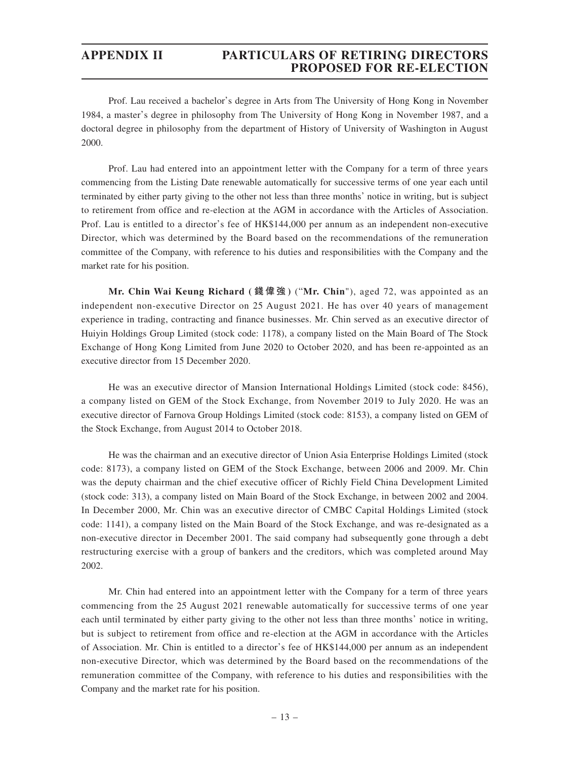Prof. Lau received a bachelor's degree in Arts from The University of Hong Kong in November 1984, a master's degree in philosophy from The University of Hong Kong in November 1987, and a doctoral degree in philosophy from the department of History of University of Washington in August 2000.

Prof. Lau had entered into an appointment letter with the Company for a term of three years commencing from the Listing Date renewable automatically for successive terms of one year each until terminated by either party giving to the other not less than three months' notice in writing, but is subject to retirement from office and re-election at the AGM in accordance with the Articles of Association. Prof. Lau is entitled to a director's fee of HK\$144,000 per annum as an independent non-executive Director, which was determined by the Board based on the recommendations of the remuneration committee of the Company, with reference to his duties and responsibilities with the Company and the market rate for his position.

**Mr. Chin Wai Keung Richard ( 錢偉強 )** ("**Mr. Chin**"), aged 72, was appointed as an independent non-executive Director on 25 August 2021. He has over 40 years of management experience in trading, contracting and finance businesses. Mr. Chin served as an executive director of Huiyin Holdings Group Limited (stock code: 1178), a company listed on the Main Board of The Stock Exchange of Hong Kong Limited from June 2020 to October 2020, and has been re-appointed as an executive director from 15 December 2020.

He was an executive director of Mansion International Holdings Limited (stock code: 8456), a company listed on GEM of the Stock Exchange, from November 2019 to July 2020. He was an executive director of Farnova Group Holdings Limited (stock code: 8153), a company listed on GEM of the Stock Exchange, from August 2014 to October 2018.

He was the chairman and an executive director of Union Asia Enterprise Holdings Limited (stock code: 8173), a company listed on GEM of the Stock Exchange, between 2006 and 2009. Mr. Chin was the deputy chairman and the chief executive officer of Richly Field China Development Limited (stock code: 313), a company listed on Main Board of the Stock Exchange, in between 2002 and 2004. In December 2000, Mr. Chin was an executive director of CMBC Capital Holdings Limited (stock code: 1141), a company listed on the Main Board of the Stock Exchange, and was re-designated as a non-executive director in December 2001. The said company had subsequently gone through a debt restructuring exercise with a group of bankers and the creditors, which was completed around May 2002.

Mr. Chin had entered into an appointment letter with the Company for a term of three years commencing from the 25 August 2021 renewable automatically for successive terms of one year each until terminated by either party giving to the other not less than three months' notice in writing, but is subject to retirement from office and re-election at the AGM in accordance with the Articles of Association. Mr. Chin is entitled to a director's fee of HK\$144,000 per annum as an independent non-executive Director, which was determined by the Board based on the recommendations of the remuneration committee of the Company, with reference to his duties and responsibilities with the Company and the market rate for his position.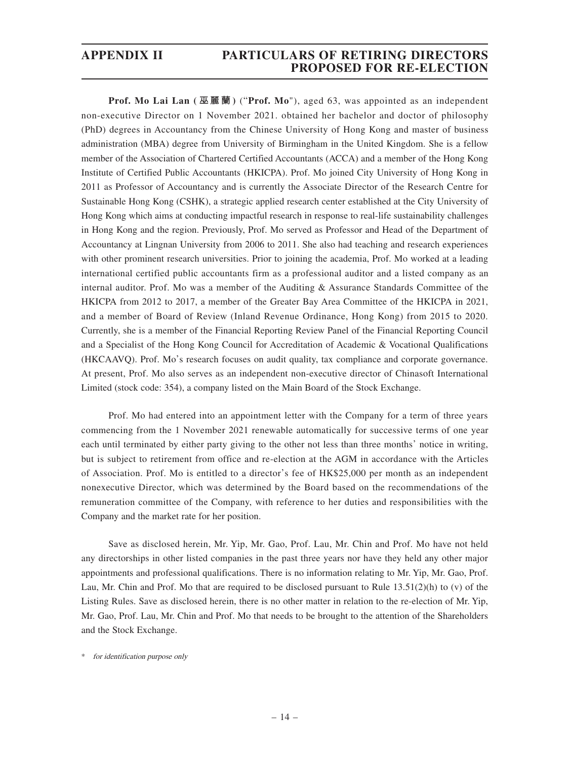**Prof. Mo Lai Lan ( 巫麗蘭 )** ("**Prof. Mo**"), aged 63, was appointed as an independent non-executive Director on 1 November 2021. obtained her bachelor and doctor of philosophy (PhD) degrees in Accountancy from the Chinese University of Hong Kong and master of business administration (MBA) degree from University of Birmingham in the United Kingdom. She is a fellow member of the Association of Chartered Certified Accountants (ACCA) and a member of the Hong Kong Institute of Certified Public Accountants (HKICPA). Prof. Mo joined City University of Hong Kong in 2011 as Professor of Accountancy and is currently the Associate Director of the Research Centre for Sustainable Hong Kong (CSHK), a strategic applied research center established at the City University of Hong Kong which aims at conducting impactful research in response to real-life sustainability challenges in Hong Kong and the region. Previously, Prof. Mo served as Professor and Head of the Department of Accountancy at Lingnan University from 2006 to 2011. She also had teaching and research experiences with other prominent research universities. Prior to joining the academia, Prof. Mo worked at a leading international certified public accountants firm as a professional auditor and a listed company as an internal auditor. Prof. Mo was a member of the Auditing & Assurance Standards Committee of the HKICPA from 2012 to 2017, a member of the Greater Bay Area Committee of the HKICPA in 2021, and a member of Board of Review (Inland Revenue Ordinance, Hong Kong) from 2015 to 2020. Currently, she is a member of the Financial Reporting Review Panel of the Financial Reporting Council and a Specialist of the Hong Kong Council for Accreditation of Academic & Vocational Qualifications (HKCAAVQ). Prof. Mo's research focuses on audit quality, tax compliance and corporate governance. At present, Prof. Mo also serves as an independent non-executive director of Chinasoft International Limited (stock code: 354), a company listed on the Main Board of the Stock Exchange.

Prof. Mo had entered into an appointment letter with the Company for a term of three years commencing from the 1 November 2021 renewable automatically for successive terms of one year each until terminated by either party giving to the other not less than three months' notice in writing, but is subject to retirement from office and re-election at the AGM in accordance with the Articles of Association. Prof. Mo is entitled to a director's fee of HK\$25,000 per month as an independent nonexecutive Director, which was determined by the Board based on the recommendations of the remuneration committee of the Company, with reference to her duties and responsibilities with the Company and the market rate for her position.

Save as disclosed herein, Mr. Yip, Mr. Gao, Prof. Lau, Mr. Chin and Prof. Mo have not held any directorships in other listed companies in the past three years nor have they held any other major appointments and professional qualifications. There is no information relating to Mr. Yip, Mr. Gao, Prof. Lau, Mr. Chin and Prof. Mo that are required to be disclosed pursuant to Rule  $13.51(2)(h)$  to (v) of the Listing Rules. Save as disclosed herein, there is no other matter in relation to the re-election of Mr. Yip, Mr. Gao, Prof. Lau, Mr. Chin and Prof. Mo that needs to be brought to the attention of the Shareholders and the Stock Exchange.

\* for identification purpose only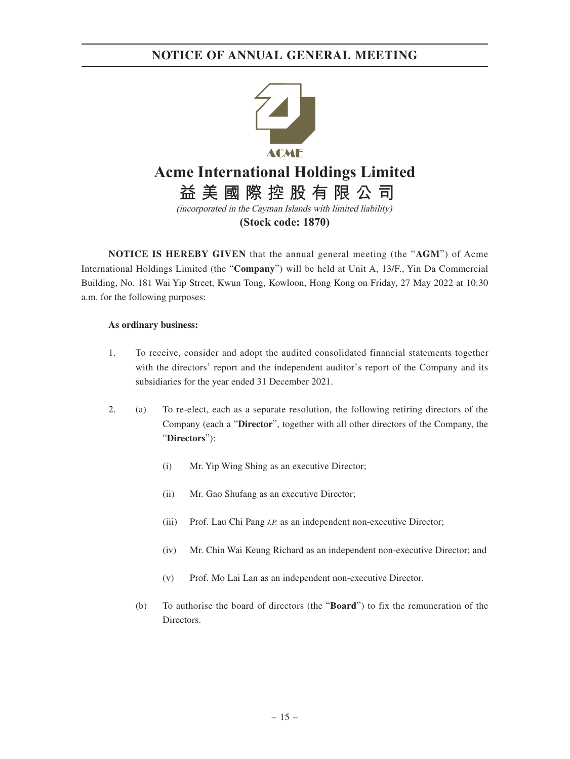

**NOTICE IS HEREBY GIVEN** that the annual general meeting (the "**AGM**") of Acme International Holdings Limited (the "**Company**") will be held at Unit A, 13/F., Yin Da Commercial Building, No. 181 Wai Yip Street, Kwun Tong, Kowloon, Hong Kong on Friday, 27 May 2022 at 10:30 a.m. for the following purposes:

#### **As ordinary business:**

- 1. To receive, consider and adopt the audited consolidated financial statements together with the directors' report and the independent auditor's report of the Company and its subsidiaries for the year ended 31 December 2021.
- 2. (a) To re-elect, each as a separate resolution, the following retiring directors of the Company (each a "**Director**", together with all other directors of the Company, the "**Directors**"):
	- (i) Mr. Yip Wing Shing as an executive Director;
	- (ii) Mr. Gao Shufang as an executive Director;
	- (iii) Prof. Lau Chi Pang *J.P.* as an independent non-executive Director;
	- (iv) Mr. Chin Wai Keung Richard as an independent non-executive Director; and
	- (v) Prof. Mo Lai Lan as an independent non-executive Director.
	- (b) To authorise the board of directors (the "**Board**") to fix the remuneration of the Directors.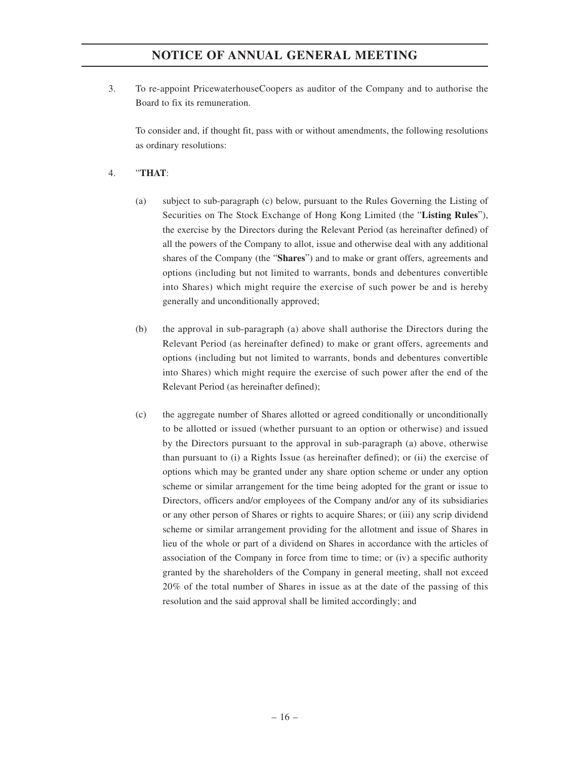3. To re-appoint PricewaterhouseCoopers as auditor of the Company and to authorise the Board to fix its remuneration.

To consider and, if thought fit, pass with or without amendments, the following resolutions as ordinary resolutions:

## 4. "**THAT**:

- (a) subject to sub-paragraph (c) below, pursuant to the Rules Governing the Listing of Securities on The Stock Exchange of Hong Kong Limited (the "**Listing Rules**"), the exercise by the Directors during the Relevant Period (as hereinafter defined) of all the powers of the Company to allot, issue and otherwise deal with any additional shares of the Company (the "**Shares**") and to make or grant offers, agreements and options (including but not limited to warrants, bonds and debentures convertible into Shares) which might require the exercise of such power be and is hereby generally and unconditionally approved;
- (b) the approval in sub-paragraph (a) above shall authorise the Directors during the Relevant Period (as hereinafter defined) to make or grant offers, agreements and options (including but not limited to warrants, bonds and debentures convertible into Shares) which might require the exercise of such power after the end of the Relevant Period (as hereinafter defined);
- (c) the aggregate number of Shares allotted or agreed conditionally or unconditionally to be allotted or issued (whether pursuant to an option or otherwise) and issued by the Directors pursuant to the approval in sub-paragraph (a) above, otherwise than pursuant to (i) a Rights Issue (as hereinafter defined); or (ii) the exercise of options which may be granted under any share option scheme or under any option scheme or similar arrangement for the time being adopted for the grant or issue to Directors, officers and/or employees of the Company and/or any of its subsidiaries or any other person of Shares or rights to acquire Shares; or (iii) any scrip dividend scheme or similar arrangement providing for the allotment and issue of Shares in lieu of the whole or part of a dividend on Shares in accordance with the articles of association of the Company in force from time to time; or (iv) a specific authority granted by the shareholders of the Company in general meeting, shall not exceed 20% of the total number of Shares in issue as at the date of the passing of this resolution and the said approval shall be limited accordingly; and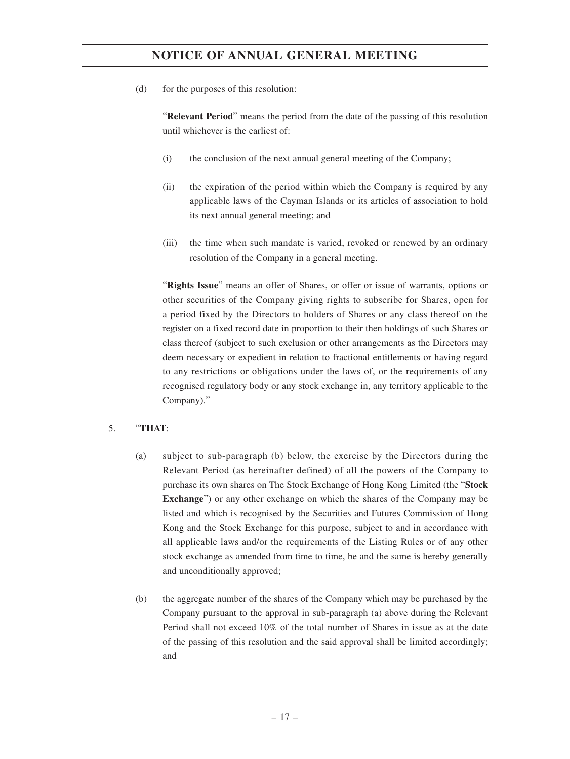(d) for the purposes of this resolution:

"**Relevant Period**" means the period from the date of the passing of this resolution until whichever is the earliest of:

- (i) the conclusion of the next annual general meeting of the Company;
- (ii) the expiration of the period within which the Company is required by any applicable laws of the Cayman Islands or its articles of association to hold its next annual general meeting; and
- (iii) the time when such mandate is varied, revoked or renewed by an ordinary resolution of the Company in a general meeting.

"**Rights Issue**" means an offer of Shares, or offer or issue of warrants, options or other securities of the Company giving rights to subscribe for Shares, open for a period fixed by the Directors to holders of Shares or any class thereof on the register on a fixed record date in proportion to their then holdings of such Shares or class thereof (subject to such exclusion or other arrangements as the Directors may deem necessary or expedient in relation to fractional entitlements or having regard to any restrictions or obligations under the laws of, or the requirements of any recognised regulatory body or any stock exchange in, any territory applicable to the Company)."

## 5. "**THAT**:

- (a) subject to sub-paragraph (b) below, the exercise by the Directors during the Relevant Period (as hereinafter defined) of all the powers of the Company to purchase its own shares on The Stock Exchange of Hong Kong Limited (the "**Stock Exchange**") or any other exchange on which the shares of the Company may be listed and which is recognised by the Securities and Futures Commission of Hong Kong and the Stock Exchange for this purpose, subject to and in accordance with all applicable laws and/or the requirements of the Listing Rules or of any other stock exchange as amended from time to time, be and the same is hereby generally and unconditionally approved;
- (b) the aggregate number of the shares of the Company which may be purchased by the Company pursuant to the approval in sub-paragraph (a) above during the Relevant Period shall not exceed 10% of the total number of Shares in issue as at the date of the passing of this resolution and the said approval shall be limited accordingly; and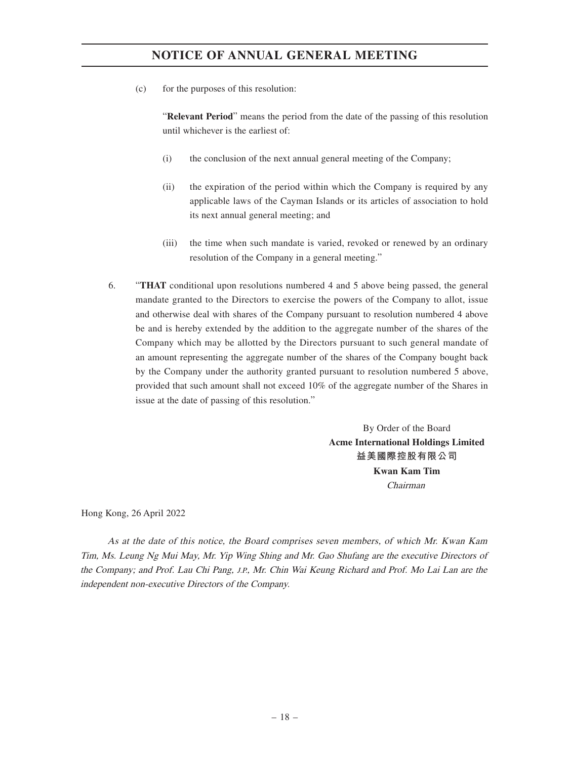(c) for the purposes of this resolution:

"**Relevant Period**" means the period from the date of the passing of this resolution until whichever is the earliest of:

- (i) the conclusion of the next annual general meeting of the Company;
- (ii) the expiration of the period within which the Company is required by any applicable laws of the Cayman Islands or its articles of association to hold its next annual general meeting; and
- (iii) the time when such mandate is varied, revoked or renewed by an ordinary resolution of the Company in a general meeting."
- 6. "**THAT** conditional upon resolutions numbered 4 and 5 above being passed, the general mandate granted to the Directors to exercise the powers of the Company to allot, issue and otherwise deal with shares of the Company pursuant to resolution numbered 4 above be and is hereby extended by the addition to the aggregate number of the shares of the Company which may be allotted by the Directors pursuant to such general mandate of an amount representing the aggregate number of the shares of the Company bought back by the Company under the authority granted pursuant to resolution numbered 5 above, provided that such amount shall not exceed 10% of the aggregate number of the Shares in issue at the date of passing of this resolution."

By Order of the Board **Acme International Holdings Limited 益美國際控股有限公司 Kwan Kam Tim**  Chairman

Hong Kong, 26 April 2022

As at the date of this notice, the Board comprises seven members, of which Mr. Kwan Kam Tim, Ms. Leung Ng Mui May, Mr. Yip Wing Shing and Mr. Gao Shufang are the executive Directors of the Company; and Prof. Lau Chi Pang, J.P., Mr. Chin Wai Keung Richard and Prof. Mo Lai Lan are the independent non-executive Directors of the Company.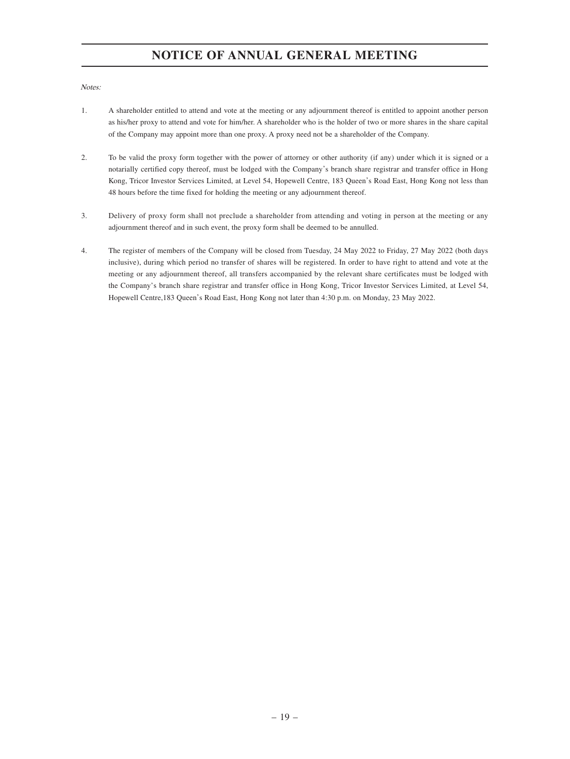Notes:

- 1. A shareholder entitled to attend and vote at the meeting or any adjournment thereof is entitled to appoint another person as his/her proxy to attend and vote for him/her. A shareholder who is the holder of two or more shares in the share capital of the Company may appoint more than one proxy. A proxy need not be a shareholder of the Company.
- 2. To be valid the proxy form together with the power of attorney or other authority (if any) under which it is signed or a notarially certified copy thereof, must be lodged with the Company's branch share registrar and transfer office in Hong Kong, Tricor Investor Services Limited, at Level 54, Hopewell Centre, 183 Queen's Road East, Hong Kong not less than 48 hours before the time fixed for holding the meeting or any adjournment thereof.
- 3. Delivery of proxy form shall not preclude a shareholder from attending and voting in person at the meeting or any adjournment thereof and in such event, the proxy form shall be deemed to be annulled.
- 4. The register of members of the Company will be closed from Tuesday, 24 May 2022 to Friday, 27 May 2022 (both days inclusive), during which period no transfer of shares will be registered. In order to have right to attend and vote at the meeting or any adjournment thereof, all transfers accompanied by the relevant share certificates must be lodged with the Company's branch share registrar and transfer office in Hong Kong, Tricor Investor Services Limited, at Level 54, Hopewell Centre,183 Queen's Road East, Hong Kong not later than 4:30 p.m. on Monday, 23 May 2022.